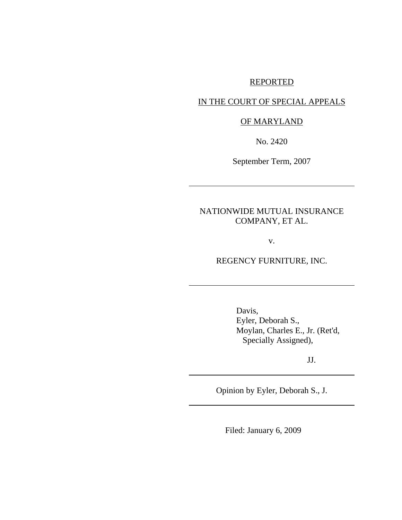## REPORTED

## IN THE COURT OF SPECIAL APPEALS

## OF MARYLAND

No. 2420

September Term, 2007

# NATIONWIDE MUTUAL INSURANCE COMPANY, ET AL.

v.

REGENCY FURNITURE, INC.

Davis, Eyler, Deborah S., Moylan, Charles E., Jr. (Ret'd, Specially Assigned),

JJ.

Opinion by Eyler, Deborah S., J.

Filed: January 6, 2009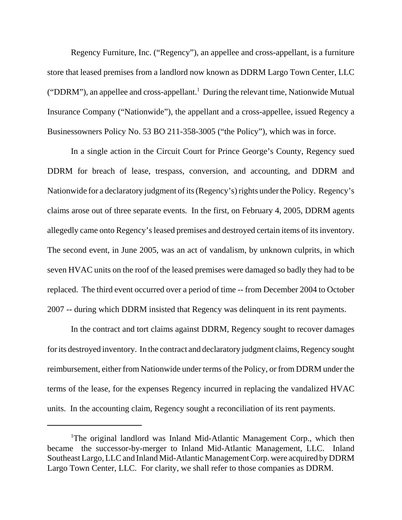Regency Furniture, Inc. ("Regency"), an appellee and cross-appellant, is a furniture store that leased premises from a landlord now known as DDRM Largo Town Center, LLC ("DDRM"), an appellee and cross-appellant.<sup>1</sup> During the relevant time, Nationwide Mutual Insurance Company ("Nationwide"), the appellant and a cross-appellee, issued Regency a Businessowners Policy No. 53 BO 211-358-3005 ("the Policy"), which was in force.

In a single action in the Circuit Court for Prince George's County, Regency sued DDRM for breach of lease, trespass, conversion, and accounting, and DDRM and Nationwide for a declaratory judgment of its (Regency's) rights under the Policy. Regency's claims arose out of three separate events. In the first, on February 4, 2005, DDRM agents allegedly came onto Regency's leased premises and destroyed certain items of its inventory. The second event, in June 2005, was an act of vandalism, by unknown culprits, in which seven HVAC units on the roof of the leased premises were damaged so badly they had to be replaced. The third event occurred over a period of time -- from December 2004 to October 2007 -- during which DDRM insisted that Regency was delinquent in its rent payments.

In the contract and tort claims against DDRM, Regency sought to recover damages for its destroyed inventory. In the contract and declaratory judgment claims, Regency sought reimbursement, either from Nationwide under terms of the Policy, or from DDRM under the terms of the lease, for the expenses Regency incurred in replacing the vandalized HVAC units. In the accounting claim, Regency sought a reconciliation of its rent payments.

<sup>&</sup>lt;sup>1</sup>The original landlord was Inland Mid-Atlantic Management Corp., which then became the successor-by-merger to Inland Mid-Atlantic Management, LLC. Inland Southeast Largo, LLC and Inland Mid-Atlantic Management Corp. were acquired by DDRM Largo Town Center, LLC. For clarity, we shall refer to those companies as DDRM.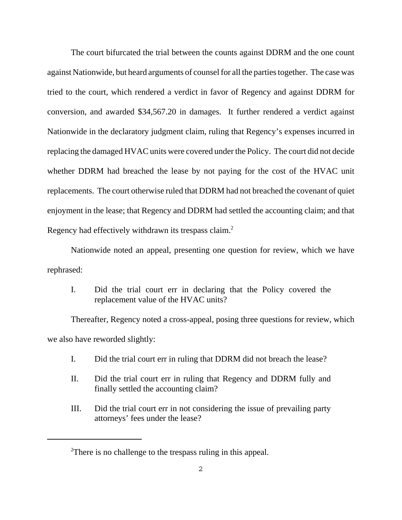The court bifurcated the trial between the counts against DDRM and the one count against Nationwide, but heard arguments of counsel for all the parties together. The case was tried to the court, which rendered a verdict in favor of Regency and against DDRM for conversion, and awarded \$34,567.20 in damages. It further rendered a verdict against Nationwide in the declaratory judgment claim, ruling that Regency's expenses incurred in replacing the damaged HVAC units were covered under the Policy. The court did not decide whether DDRM had breached the lease by not paying for the cost of the HVAC unit replacements. The court otherwise ruled that DDRM had not breached the covenant of quiet enjoyment in the lease; that Regency and DDRM had settled the accounting claim; and that Regency had effectively withdrawn its trespass claim.<sup>2</sup>

Nationwide noted an appeal, presenting one question for review, which we have rephrased:

I. Did the trial court err in declaring that the Policy covered the replacement value of the HVAC units?

Thereafter, Regency noted a cross-appeal, posing three questions for review, which we also have reworded slightly:

- I. Did the trial court err in ruling that DDRM did not breach the lease?
- II. Did the trial court err in ruling that Regency and DDRM fully and finally settled the accounting claim?
- III. Did the trial court err in not considering the issue of prevailing party attorneys' fees under the lease?

 $2$ There is no challenge to the trespass ruling in this appeal.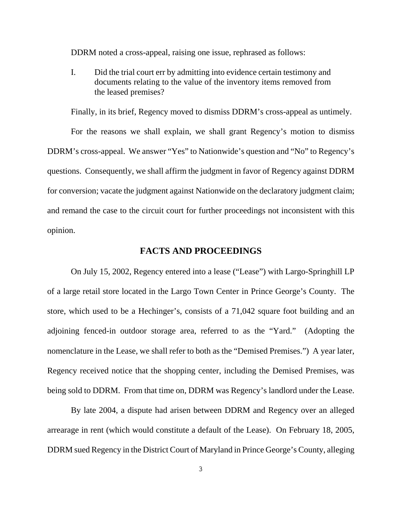DDRM noted a cross-appeal, raising one issue, rephrased as follows:

I. Did the trial court err by admitting into evidence certain testimony and documents relating to the value of the inventory items removed from the leased premises?

Finally, in its brief, Regency moved to dismiss DDRM's cross-appeal as untimely.

For the reasons we shall explain, we shall grant Regency's motion to dismiss DDRM's cross-appeal. We answer "Yes" to Nationwide's question and "No" to Regency's questions. Consequently, we shall affirm the judgment in favor of Regency against DDRM for conversion; vacate the judgment against Nationwide on the declaratory judgment claim; and remand the case to the circuit court for further proceedings not inconsistent with this opinion.

## **FACTS AND PROCEEDINGS**

On July 15, 2002, Regency entered into a lease ("Lease") with Largo-Springhill LP of a large retail store located in the Largo Town Center in Prince George's County. The store, which used to be a Hechinger's, consists of a 71,042 square foot building and an adjoining fenced-in outdoor storage area, referred to as the "Yard." (Adopting the nomenclature in the Lease, we shall refer to both as the "Demised Premises.") A year later, Regency received notice that the shopping center, including the Demised Premises, was being sold to DDRM. From that time on, DDRM was Regency's landlord under the Lease.

By late 2004, a dispute had arisen between DDRM and Regency over an alleged arrearage in rent (which would constitute a default of the Lease). On February 18, 2005, DDRM sued Regency in the District Court of Maryland in Prince George's County, alleging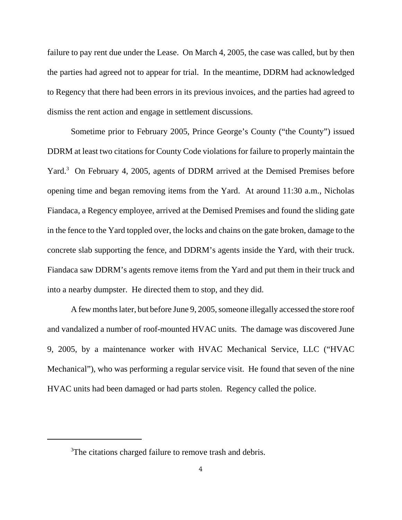failure to pay rent due under the Lease. On March 4, 2005, the case was called, but by then the parties had agreed not to appear for trial. In the meantime, DDRM had acknowledged to Regency that there had been errors in its previous invoices, and the parties had agreed to dismiss the rent action and engage in settlement discussions.

Sometime prior to February 2005, Prince George's County ("the County") issued DDRM at least two citations for County Code violations for failure to properly maintain the Yard.<sup>3</sup> On February 4, 2005, agents of DDRM arrived at the Demised Premises before opening time and began removing items from the Yard. At around 11:30 a.m., Nicholas Fiandaca, a Regency employee, arrived at the Demised Premises and found the sliding gate in the fence to the Yard toppled over, the locks and chains on the gate broken, damage to the concrete slab supporting the fence, and DDRM's agents inside the Yard, with their truck. Fiandaca saw DDRM's agents remove items from the Yard and put them in their truck and into a nearby dumpster. He directed them to stop, and they did.

A few months later, but before June 9, 2005, someone illegally accessed the store roof and vandalized a number of roof-mounted HVAC units. The damage was discovered June 9, 2005, by a maintenance worker with HVAC Mechanical Service, LLC ("HVAC Mechanical"), who was performing a regular service visit. He found that seven of the nine HVAC units had been damaged or had parts stolen. Regency called the police.

<sup>&</sup>lt;sup>3</sup>The citations charged failure to remove trash and debris.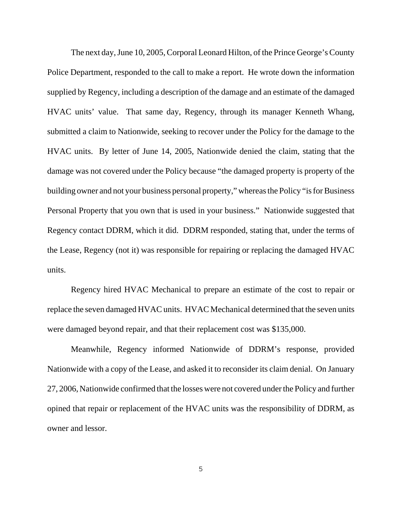The next day, June 10, 2005, Corporal Leonard Hilton, of the Prince George's County Police Department, responded to the call to make a report. He wrote down the information supplied by Regency, including a description of the damage and an estimate of the damaged HVAC units' value. That same day, Regency, through its manager Kenneth Whang, submitted a claim to Nationwide, seeking to recover under the Policy for the damage to the HVAC units. By letter of June 14, 2005, Nationwide denied the claim, stating that the damage was not covered under the Policy because "the damaged property is property of the building owner and not your business personal property," whereas the Policy "is for Business Personal Property that you own that is used in your business." Nationwide suggested that Regency contact DDRM, which it did. DDRM responded, stating that, under the terms of the Lease, Regency (not it) was responsible for repairing or replacing the damaged HVAC units.

Regency hired HVAC Mechanical to prepare an estimate of the cost to repair or replace the seven damaged HVAC units. HVAC Mechanical determined that the seven units were damaged beyond repair, and that their replacement cost was \$135,000.

Meanwhile, Regency informed Nationwide of DDRM's response, provided Nationwide with a copy of the Lease, and asked it to reconsider its claim denial. On January 27, 2006, Nationwide confirmed that the losses were not covered under the Policy and further opined that repair or replacement of the HVAC units was the responsibility of DDRM, as owner and lessor.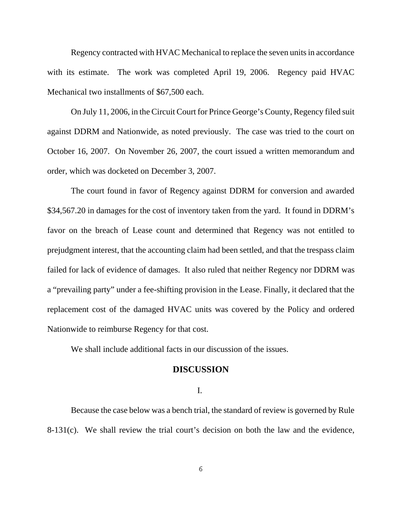Regency contracted with HVAC Mechanical to replace the seven units in accordance with its estimate. The work was completed April 19, 2006. Regency paid HVAC Mechanical two installments of \$67,500 each.

On July 11, 2006, in the Circuit Court for Prince George's County, Regency filed suit against DDRM and Nationwide, as noted previously. The case was tried to the court on October 16, 2007. On November 26, 2007, the court issued a written memorandum and order, which was docketed on December 3, 2007.

The court found in favor of Regency against DDRM for conversion and awarded \$34,567.20 in damages for the cost of inventory taken from the yard. It found in DDRM's favor on the breach of Lease count and determined that Regency was not entitled to prejudgment interest, that the accounting claim had been settled, and that the trespass claim failed for lack of evidence of damages. It also ruled that neither Regency nor DDRM was a "prevailing party" under a fee-shifting provision in the Lease. Finally, it declared that the replacement cost of the damaged HVAC units was covered by the Policy and ordered Nationwide to reimburse Regency for that cost.

We shall include additional facts in our discussion of the issues.

#### **DISCUSSION**

#### I.

Because the case below was a bench trial, the standard of review is governed by Rule 8-131(c). We shall review the trial court's decision on both the law and the evidence,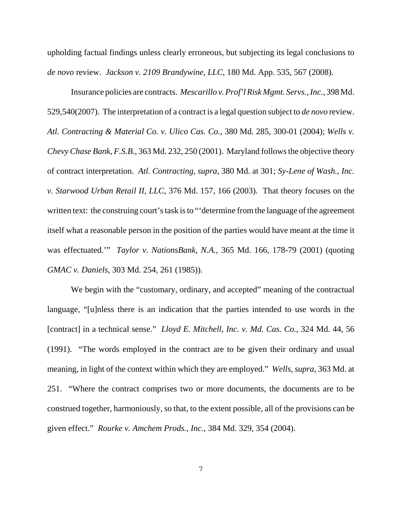upholding factual findings unless clearly erroneous, but subjecting its legal conclusions to *de novo* review. *Jackson v. 2109 Brandywine, LLC*, 180 Md. App. 535, 567 (2008).

Insurance policies are contracts. *Mescarillo v. Prof'l Risk Mgmt. Servs., Inc.*, 398 Md. 529,540(2007). The interpretation of a contract is a legal question subject to *de novo* review. *Atl. Contracting & Material Co. v. Ulico Cas. Co.*, 380 Md. 285, 300-01 (2004); *Wells v. Chevy Chase Bank, F.S.B.*, 363 Md. 232, 250 (2001). Maryland follows the objective theory of contract interpretation. *Atl. Contracting*, *supra*, 380 Md. at 301; *Sy-Lene of Wash., Inc. v. Starwood Urban Retail II, LLC*, 376 Md. 157, 166 (2003). That theory focuses on the written text: the construing court's task is to "'determine from the language of the agreement itself what a reasonable person in the position of the parties would have meant at the time it was effectuated.'" *Taylor v. NationsBank, N.A.*, 365 Md. 166, 178-79 (2001) (quoting *GMAC v. Daniels*, 303 Md. 254, 261 (1985)).

We begin with the "customary, ordinary, and accepted" meaning of the contractual language, "[u]nless there is an indication that the parties intended to use words in the [contract] in a technical sense." *Lloyd E. Mitchell, Inc. v. Md. Cas. Co.*, 324 Md. 44, 56 (1991). "The words employed in the contract are to be given their ordinary and usual meaning, in light of the context within which they are employed." *Wells*, *supra*, 363 Md. at 251. "Where the contract comprises two or more documents, the documents are to be construed together, harmoniously, so that, to the extent possible, all of the provisions can be given effect." *Rourke v. Amchem Prods., Inc.*, 384 Md. 329, 354 (2004).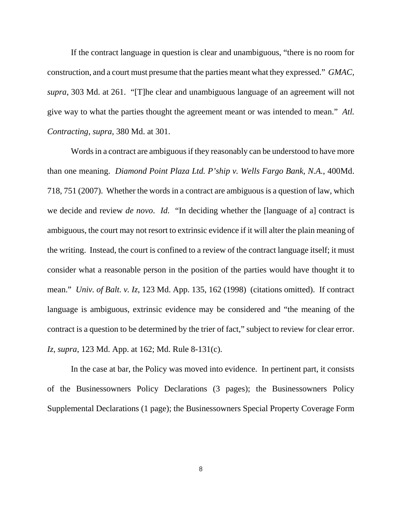If the contract language in question is clear and unambiguous, "there is no room for construction, and a court must presume that the parties meant what they expressed." *GMAC, supra*, 303 Md. at 261. "[T]he clear and unambiguous language of an agreement will not give way to what the parties thought the agreement meant or was intended to mean." *Atl. Contracting*, *supra*, 380 Md. at 301.

Words in a contract are ambiguous if they reasonably can be understood to have more than one meaning. *Diamond Point Plaza Ltd. P'ship v. Wells Fargo Bank, N.A.*, 400Md. 718, 751 (2007). Whether the words in a contract are ambiguous is a question of law, which we decide and review *de novo*. *Id.* "In deciding whether the [language of a] contract is ambiguous, the court may not resort to extrinsic evidence if it will alter the plain meaning of the writing. Instead, the court is confined to a review of the contract language itself; it must consider what a reasonable person in the position of the parties would have thought it to mean." *Univ. of Balt. v. Iz*, 123 Md. App. 135, 162 (1998) (citations omitted). If contract language is ambiguous, extrinsic evidence may be considered and "the meaning of the contract is a question to be determined by the trier of fact," subject to review for clear error. *Iz*, *supra*, 123 Md. App. at 162; Md. Rule 8-131(c).

In the case at bar, the Policy was moved into evidence. In pertinent part, it consists of the Businessowners Policy Declarations (3 pages); the Businessowners Policy Supplemental Declarations (1 page); the Businessowners Special Property Coverage Form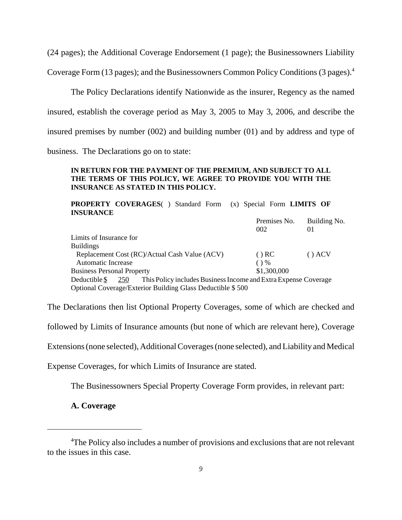(24 pages); the Additional Coverage Endorsement (1 page); the Businessowners Liability

Coverage Form (13 pages); and the Businessowners Common Policy Conditions (3 pages).4

The Policy Declarations identify Nationwide as the insurer, Regency as the named insured, establish the coverage period as May 3, 2005 to May 3, 2006, and describe the insured premises by number (002) and building number (01) and by address and type of business. The Declarations go on to state:

#### **IN RETURN FOR THE PAYMENT OF THE PREMIUM, AND SUBJECT TO ALL THE TERMS OF THIS POLICY, WE AGREE TO PROVIDE YOU WITH THE INSURANCE AS STATED IN THIS POLICY.**

**PROPERTY COVERAGES**( ) Standard Form (x) Special Form **LIMITS OF INSURANCE** Premises No. Building No. 002 01 Limits of Insurance for Buildings Replacement Cost (RC)/Actual Cash Value (ACV) ( ) RC ( ) ACV Automatic Increase ( ) % Business Personal Property  $$1,300,000$ Deductible \$ 250 This Policy includes Business Income and Extra Expense Coverage Optional Coverage/Exterior Building Glass Deductible \$ 500

The Declarations then list Optional Property Coverages, some of which are checked and

followed by Limits of Insurance amounts (but none of which are relevant here), Coverage

Extensions (none selected), Additional Coverages (none selected), and Liability and Medical

Expense Coverages, for which Limits of Insurance are stated.

The Businessowners Special Property Coverage Form provides, in relevant part:

**A. Coverage**

<sup>&</sup>lt;sup>4</sup>The Policy also includes a number of provisions and exclusions that are not relevant to the issues in this case.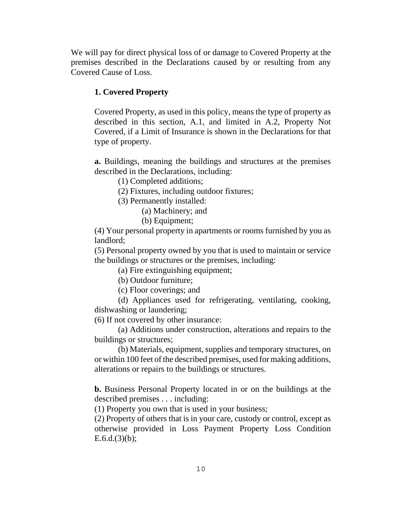We will pay for direct physical loss of or damage to Covered Property at the premises described in the Declarations caused by or resulting from any Covered Cause of Loss.

## **1. Covered Property**

Covered Property, as used in this policy, means the type of property as described in this section, A.1, and limited in A.2, Property Not Covered, if a Limit of Insurance is shown in the Declarations for that type of property.

**a.** Buildings, meaning the buildings and structures at the premises described in the Declarations, including:

(1) Completed additions;

(2) Fixtures, including outdoor fixtures;

(3) Permanently installed:

(a) Machinery; and

(b) Equipment;

(4) Your personal property in apartments or rooms furnished by you as landlord;

(5) Personal property owned by you that is used to maintain or service the buildings or structures or the premises, including:

(a) Fire extinguishing equipment;

(b) Outdoor furniture;

(c) Floor coverings; and

(d) Appliances used for refrigerating, ventilating, cooking, dishwashing or laundering;

(6) If not covered by other insurance:

(a) Additions under construction, alterations and repairs to the buildings or structures;

(b) Materials, equipment, supplies and temporary structures, on or within 100 feet of the described premises, used for making additions, alterations or repairs to the buildings or structures.

**b.** Business Personal Property located in or on the buildings at the described premises . . . including:

(1) Property you own that is used in your business;

(2) Property of others that is in your care, custody or control, except as otherwise provided in Loss Payment Property Loss Condition  $E.6.d.(3)(b);$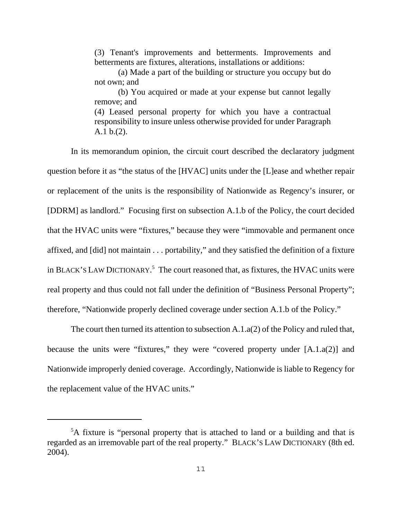(3) Tenant's improvements and betterments. Improvements and betterments are fixtures, alterations, installations or additions:

(a) Made a part of the building or structure you occupy but do not own; and

(b) You acquired or made at your expense but cannot legally remove; and (4) Leased personal property for which you have a contractual

responsibility to insure unless otherwise provided for under Paragraph A.1 b.(2).

In its memorandum opinion, the circuit court described the declaratory judgment question before it as "the status of the [HVAC] units under the [L]ease and whether repair or replacement of the units is the responsibility of Nationwide as Regency's insurer, or [DDRM] as landlord." Focusing first on subsection A.1.b of the Policy, the court decided that the HVAC units were "fixtures," because they were "immovable and permanent once affixed, and [did] not maintain . . . portability," and they satisfied the definition of a fixture in BLACK'S LAW DICTIONARY.<sup>5</sup> The court reasoned that, as fixtures, the HVAC units were real property and thus could not fall under the definition of "Business Personal Property"; therefore, "Nationwide properly declined coverage under section A.1.b of the Policy."

The court then turned its attention to subsection A.1.a(2) of the Policy and ruled that, because the units were "fixtures," they were "covered property under [A.1.a(2)] and Nationwide improperly denied coverage. Accordingly, Nationwide is liable to Regency for the replacement value of the HVAC units."

<sup>&</sup>lt;sup>5</sup>A fixture is "personal property that is attached to land or a building and that is regarded as an irremovable part of the real property." BLACK'S LAW DICTIONARY (8th ed. 2004).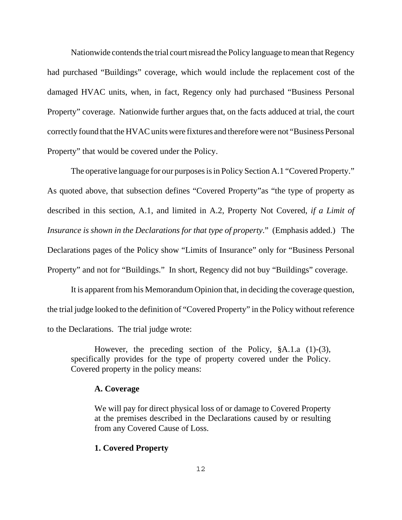Nationwide contends the trial court misread the Policy language to mean that Regency had purchased "Buildings" coverage, which would include the replacement cost of the damaged HVAC units, when, in fact, Regency only had purchased "Business Personal Property" coverage. Nationwide further argues that, on the facts adduced at trial, the court correctly found that the HVAC units were fixtures and therefore were not "Business Personal Property" that would be covered under the Policy.

The operative language for our purposes is in Policy Section A.1 "Covered Property." As quoted above, that subsection defines "Covered Property"as "the type of property as described in this section, A.1, and limited in A.2, Property Not Covered, *if a Limit of Insurance is shown in the Declarations for that type of property*." (Emphasis added.) The Declarations pages of the Policy show "Limits of Insurance" only for "Business Personal Property" and not for "Buildings." In short, Regency did not buy "Buildings" coverage.

It is apparent from his Memorandum Opinion that, in deciding the coverage question, the trial judge looked to the definition of "Covered Property" in the Policy without reference to the Declarations. The trial judge wrote:

However, the preceding section of the Policy, §A.1.a (1)-(3), specifically provides for the type of property covered under the Policy. Covered property in the policy means:

#### **A. Coverage**

We will pay for direct physical loss of or damage to Covered Property at the premises described in the Declarations caused by or resulting from any Covered Cause of Loss.

#### **1. Covered Property**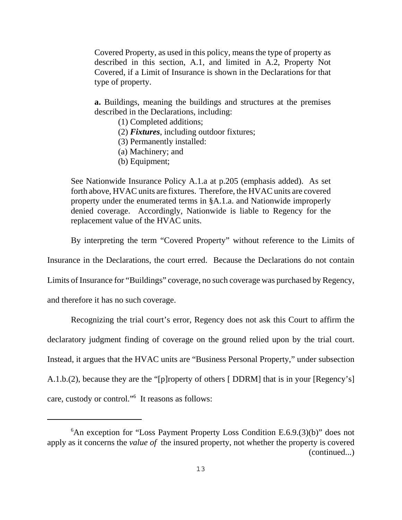Covered Property, as used in this policy, means the type of property as described in this section, A.1, and limited in A.2, Property Not Covered, if a Limit of Insurance is shown in the Declarations for that type of property.

**a.** Buildings, meaning the buildings and structures at the premises described in the Declarations, including:

- (1) Completed additions;
- (2) *Fixtures*, including outdoor fixtures;
- (3) Permanently installed:
- (a) Machinery; and
- (b) Equipment;

See Nationwide Insurance Policy A.1.a at p.205 (emphasis added). As set forth above, HVAC units are fixtures. Therefore, the HVAC units are covered property under the enumerated terms in §A.1.a. and Nationwide improperly denied coverage. Accordingly, Nationwide is liable to Regency for the replacement value of the HVAC units.

By interpreting the term "Covered Property" without reference to the Limits of

Insurance in the Declarations, the court erred. Because the Declarations do not contain

Limits of Insurance for "Buildings" coverage, no such coverage was purchased by Regency,

and therefore it has no such coverage.

Recognizing the trial court's error, Regency does not ask this Court to affirm the declaratory judgment finding of coverage on the ground relied upon by the trial court. Instead, it argues that the HVAC units are "Business Personal Property," under subsection A.1.b.(2), because they are the "[p]roperty of others [ DDRM] that is in your [Regency's] care, custody or control."6 It reasons as follows:

<sup>&</sup>lt;sup>6</sup>An exception for "Loss Payment Property Loss Condition E.6.9.(3)(b)" does not apply as it concerns the *value of* the insured property, not whether the property is covered (continued...)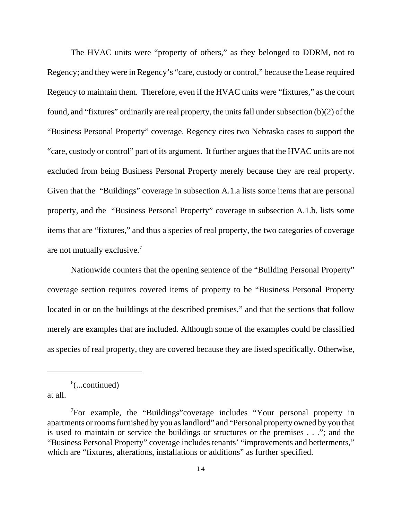The HVAC units were "property of others," as they belonged to DDRM, not to Regency; and they were in Regency's "care, custody or control," because the Lease required Regency to maintain them. Therefore, even if the HVAC units were "fixtures," as the court found, and "fixtures" ordinarily are real property, the units fall under subsection (b)(2) of the "Business Personal Property" coverage. Regency cites two Nebraska cases to support the "care, custody or control" part of its argument. It further argues that the HVAC units are not excluded from being Business Personal Property merely because they are real property. Given that the "Buildings" coverage in subsection A.1.a lists some items that are personal property, and the "Business Personal Property" coverage in subsection A.1.b. lists some items that are "fixtures," and thus a species of real property, the two categories of coverage are not mutually exclusive.<sup>7</sup>

Nationwide counters that the opening sentence of the "Building Personal Property" coverage section requires covered items of property to be "Business Personal Property located in or on the buildings at the described premises," and that the sections that follow merely are examples that are included. Although some of the examples could be classified as species of real property, they are covered because they are listed specifically. Otherwise,

 $6$ (...continued)

at all.

<sup>&</sup>lt;sup>7</sup>For example, the "Buildings" coverage includes "Your personal property in apartments or rooms furnished by you as landlord" and "Personal property owned by you that is used to maintain or service the buildings or structures or the premises . . ."; and the "Business Personal Property" coverage includes tenants' "improvements and betterments," which are "fixtures, alterations, installations or additions" as further specified.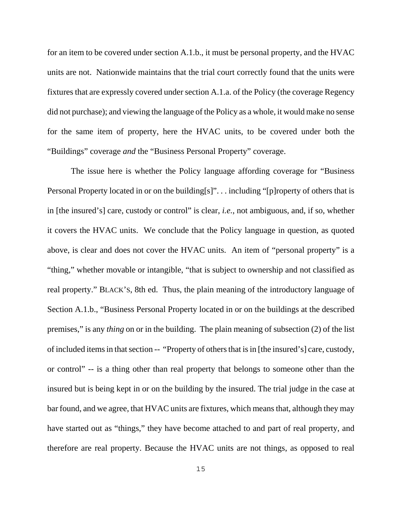for an item to be covered under section A.1.b., it must be personal property, and the HVAC units are not. Nationwide maintains that the trial court correctly found that the units were fixtures that are expressly covered under section A.1.a. of the Policy (the coverage Regency did not purchase); and viewing the language of the Policy as a whole, it would make no sense for the same item of property, here the HVAC units, to be covered under both the "Buildings" coverage *and* the "Business Personal Property" coverage.

The issue here is whether the Policy language affording coverage for "Business Personal Property located in or on the building[s]"... including "[p]roperty of others that is in [the insured's] care, custody or control" is clear, *i.e.*, not ambiguous, and, if so, whether it covers the HVAC units. We conclude that the Policy language in question, as quoted above, is clear and does not cover the HVAC units. An item of "personal property" is a "thing," whether movable or intangible, "that is subject to ownership and not classified as real property." BLACK'S, 8th ed. Thus, the plain meaning of the introductory language of Section A.1.b., "Business Personal Property located in or on the buildings at the described premises," is any *thing* on or in the building. The plain meaning of subsection (2) of the list of included items in that section -- "Property of others that is in [the insured's] care, custody, or control" -- is a thing other than real property that belongs to someone other than the insured but is being kept in or on the building by the insured. The trial judge in the case at bar found, and we agree, that HVAC units are fixtures, which means that, although they may have started out as "things," they have become attached to and part of real property, and therefore are real property. Because the HVAC units are not things, as opposed to real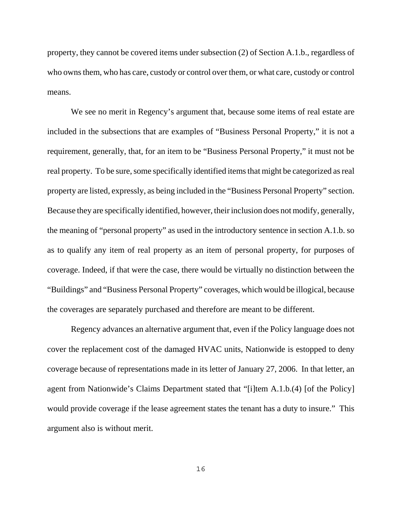property, they cannot be covered items under subsection (2) of Section A.1.b., regardless of who owns them, who has care, custody or control over them, or what care, custody or control means.

We see no merit in Regency's argument that, because some items of real estate are included in the subsections that are examples of "Business Personal Property," it is not a requirement, generally, that, for an item to be "Business Personal Property," it must not be real property. To be sure, some specifically identified items that might be categorized as real property are listed, expressly, as being included in the "Business Personal Property" section. Because they are specifically identified, however, their inclusion does not modify, generally, the meaning of "personal property" as used in the introductory sentence in section A.1.b. so as to qualify any item of real property as an item of personal property, for purposes of coverage. Indeed, if that were the case, there would be virtually no distinction between the "Buildings" and "Business Personal Property" coverages, which would be illogical, because the coverages are separately purchased and therefore are meant to be different.

Regency advances an alternative argument that, even if the Policy language does not cover the replacement cost of the damaged HVAC units, Nationwide is estopped to deny coverage because of representations made in its letter of January 27, 2006. In that letter, an agent from Nationwide's Claims Department stated that "[i]tem A.1.b.(4) [of the Policy] would provide coverage if the lease agreement states the tenant has a duty to insure." This argument also is without merit.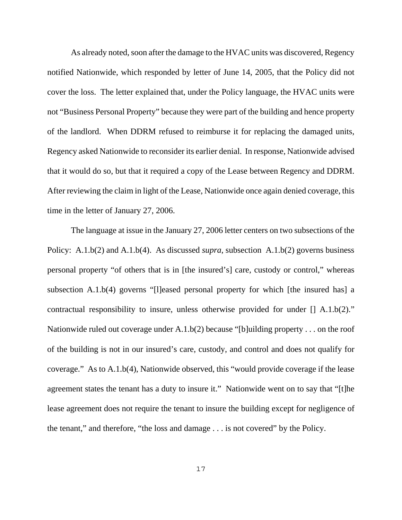As already noted, soon after the damage to the HVAC units was discovered, Regency notified Nationwide, which responded by letter of June 14, 2005, that the Policy did not cover the loss. The letter explained that, under the Policy language, the HVAC units were not "Business Personal Property" because they were part of the building and hence property of the landlord. When DDRM refused to reimburse it for replacing the damaged units, Regency asked Nationwide to reconsider its earlier denial. In response, Nationwide advised that it would do so, but that it required a copy of the Lease between Regency and DDRM. After reviewing the claim in light of the Lease, Nationwide once again denied coverage, this time in the letter of January 27, 2006.

The language at issue in the January 27, 2006 letter centers on two subsections of the Policy: A.1.b(2) and A.1.b(4). As discussed *supra*, subsection A.1.b(2) governs business personal property "of others that is in [the insured's] care, custody or control," whereas subsection A.1.b(4) governs "[l]eased personal property for which [the insured has] a contractual responsibility to insure, unless otherwise provided for under [] A.1.b(2)." Nationwide ruled out coverage under  $A.1.b(2)$  because "[b]uilding property . . . on the roof of the building is not in our insured's care, custody, and control and does not qualify for coverage." As to A.1.b(4), Nationwide observed, this "would provide coverage if the lease agreement states the tenant has a duty to insure it." Nationwide went on to say that "[t]he lease agreement does not require the tenant to insure the building except for negligence of the tenant," and therefore, "the loss and damage . . . is not covered" by the Policy.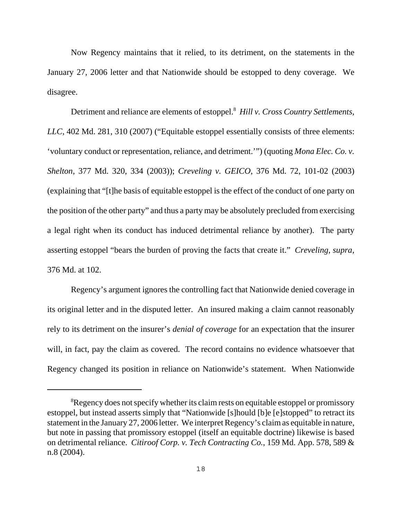Now Regency maintains that it relied, to its detriment, on the statements in the January 27, 2006 letter and that Nationwide should be estopped to deny coverage. We disagree.

Detriment and reliance are elements of estoppel.<sup>8</sup> Hill v. Cross Country Settlements, *LLC*, 402 Md. 281, 310 (2007) ("Equitable estoppel essentially consists of three elements: 'voluntary conduct or representation, reliance, and detriment.'") (quoting *Mona Elec. Co. v. Shelton*, 377 Md. 320, 334 (2003)); *Creveling v. GEICO*, 376 Md. 72, 101-02 (2003) (explaining that "[t]he basis of equitable estoppel is the effect of the conduct of one party on the position of the other party" and thus a party may be absolutely precluded from exercising a legal right when its conduct has induced detrimental reliance by another). The party asserting estoppel "bears the burden of proving the facts that create it." *Creveling*, *supra*, 376 Md. at 102.

Regency's argument ignores the controlling fact that Nationwide denied coverage in its original letter and in the disputed letter. An insured making a claim cannot reasonably rely to its detriment on the insurer's *denial of coverage* for an expectation that the insurer will, in fact, pay the claim as covered. The record contains no evidence whatsoever that Regency changed its position in reliance on Nationwide's statement. When Nationwide

<sup>&</sup>lt;sup>8</sup>Regency does not specify whether its claim rests on equitable estoppel or promissory estoppel, but instead asserts simply that "Nationwide [s]hould [b]e [e]stopped" to retract its statement in the January 27, 2006 letter. We interpret Regency's claim as equitable in nature, but note in passing that promissory estoppel (itself an equitable doctrine) likewise is based on detrimental reliance. *Citiroof Corp. v. Tech Contracting Co.*, 159 Md. App. 578, 589 & n.8 (2004).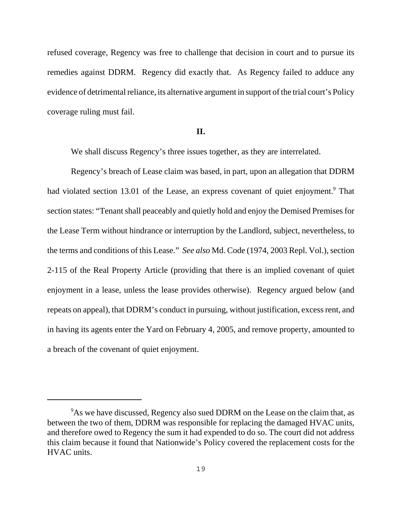refused coverage, Regency was free to challenge that decision in court and to pursue its remedies against DDRM. Regency did exactly that. As Regency failed to adduce any evidence of detrimental reliance, its alternative argument in support of the trial court's Policy coverage ruling must fail.

## **II.**

We shall discuss Regency's three issues together, as they are interrelated.

Regency's breach of Lease claim was based, in part, upon an allegation that DDRM had violated section 13.01 of the Lease, an express covenant of quiet enjoyment.<sup>9</sup> That section states: "Tenant shall peaceably and quietly hold and enjoy the Demised Premises for the Lease Term without hindrance or interruption by the Landlord, subject, nevertheless, to the terms and conditions of this Lease." *See also* Md. Code (1974, 2003 Repl. Vol.), section 2-115 of the Real Property Article (providing that there is an implied covenant of quiet enjoyment in a lease, unless the lease provides otherwise). Regency argued below (and repeats on appeal), that DDRM's conduct in pursuing, without justification, excess rent, and in having its agents enter the Yard on February 4, 2005, and remove property, amounted to a breach of the covenant of quiet enjoyment.

<sup>&</sup>lt;sup>9</sup>As we have discussed, Regency also sued DDRM on the Lease on the claim that, as between the two of them, DDRM was responsible for replacing the damaged HVAC units, and therefore owed to Regency the sum it had expended to do so. The court did not address this claim because it found that Nationwide's Policy covered the replacement costs for the HVAC units.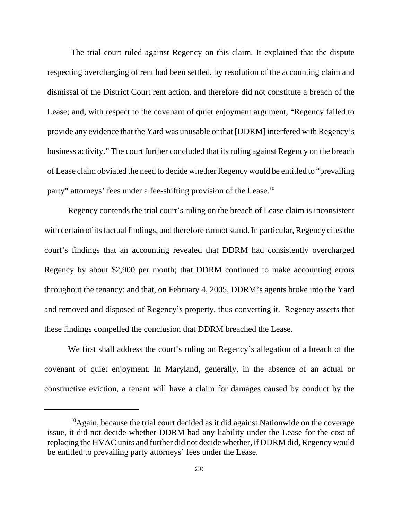The trial court ruled against Regency on this claim. It explained that the dispute respecting overcharging of rent had been settled, by resolution of the accounting claim and dismissal of the District Court rent action, and therefore did not constitute a breach of the Lease; and, with respect to the covenant of quiet enjoyment argument, "Regency failed to provide any evidence that the Yard was unusable or that [DDRM] interfered with Regency's business activity." The court further concluded that its ruling against Regency on the breach of Lease claim obviated the need to decide whether Regency would be entitled to "prevailing party" attorneys' fees under a fee-shifting provision of the Lease.<sup>10</sup>

Regency contends the trial court's ruling on the breach of Lease claim is inconsistent with certain of its factual findings, and therefore cannot stand. In particular, Regency cites the court's findings that an accounting revealed that DDRM had consistently overcharged Regency by about \$2,900 per month; that DDRM continued to make accounting errors throughout the tenancy; and that, on February 4, 2005, DDRM's agents broke into the Yard and removed and disposed of Regency's property, thus converting it. Regency asserts that these findings compelled the conclusion that DDRM breached the Lease.

We first shall address the court's ruling on Regency's allegation of a breach of the covenant of quiet enjoyment. In Maryland, generally, in the absence of an actual or constructive eviction, a tenant will have a claim for damages caused by conduct by the

 $10$ Again, because the trial court decided as it did against Nationwide on the coverage issue, it did not decide whether DDRM had any liability under the Lease for the cost of replacing the HVAC units and further did not decide whether, if DDRM did, Regency would be entitled to prevailing party attorneys' fees under the Lease.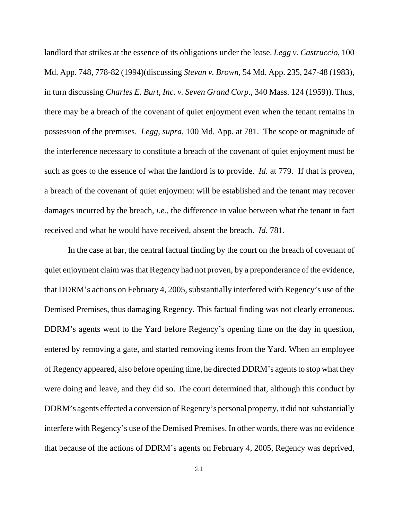landlord that strikes at the essence of its obligations under the lease. *Legg v. Castruccio*, 100 Md. App. 748, 778-82 (1994)(discussing *Stevan v. Brown*, 54 Md. App. 235, 247-48 (1983), in turn discussing *Charles E. Burt, Inc. v. Seven Grand Corp*., 340 Mass. 124 (1959)). Thus, there may be a breach of the covenant of quiet enjoyment even when the tenant remains in possession of the premises. *Legg, supra*, 100 Md. App. at 781. The scope or magnitude of the interference necessary to constitute a breach of the covenant of quiet enjoyment must be such as goes to the essence of what the landlord is to provide. *Id.* at 779. If that is proven, a breach of the covenant of quiet enjoyment will be established and the tenant may recover damages incurred by the breach, *i.e.*, the difference in value between what the tenant in fact received and what he would have received, absent the breach. *Id.* 781.

In the case at bar, the central factual finding by the court on the breach of covenant of quiet enjoyment claim was that Regency had not proven, by a preponderance of the evidence, that DDRM's actions on February 4, 2005, substantially interfered with Regency's use of the Demised Premises, thus damaging Regency. This factual finding was not clearly erroneous. DDRM's agents went to the Yard before Regency's opening time on the day in question, entered by removing a gate, and started removing items from the Yard. When an employee of Regency appeared, also before opening time, he directed DDRM's agents to stop what they were doing and leave, and they did so. The court determined that, although this conduct by DDRM's agents effected a conversion of Regency's personal property, it did not substantially interfere with Regency's use of the Demised Premises. In other words, there was no evidence that because of the actions of DDRM's agents on February 4, 2005, Regency was deprived,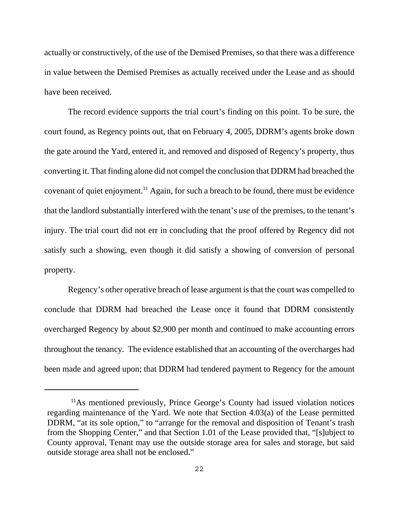actually or constructively, of the use of the Demised Premises, so that there was a difference in value between the Demised Premises as actually received under the Lease and as should have been received.

The record evidence supports the trial court's finding on this point. To be sure, the court found, as Regency points out, that on February 4, 2005, DDRM's agents broke down the gate around the Yard, entered it, and removed and disposed of Regency's property, thus converting it. That finding alone did not compel the conclusion that DDRM had breached the covenant of quiet enjoyment.<sup>11</sup> Again, for such a breach to be found, there must be evidence that the landlord substantially interfered with the tenant's *use* of the premises, to the tenant's injury. The trial court did not err in concluding that the proof offered by Regency did not satisfy such a showing, even though it did satisfy a showing of conversion of personal property.

Regency's other operative breach of lease argument is that the court was compelled to conclude that DDRM had breached the Lease once it found that DDRM consistently overcharged Regency by about \$2,900 per month and continued to make accounting errors throughout the tenancy. The evidence established that an accounting of the overcharges had been made and agreed upon; that DDRM had tendered payment to Regency for the amount

<sup>&</sup>lt;sup>11</sup>As mentioned previously, Prince George's County had issued violation notices regarding maintenance of the Yard. We note that Section 4.03(a) of the Lease permitted DDRM, "at its sole option," to "arrange for the removal and disposition of Tenant's trash from the Shopping Center," and that Section 1.01 of the Lease provided that, "[s]ubject to County approval, Tenant may use the outside storage area for sales and storage, but said outside storage area shall not be enclosed."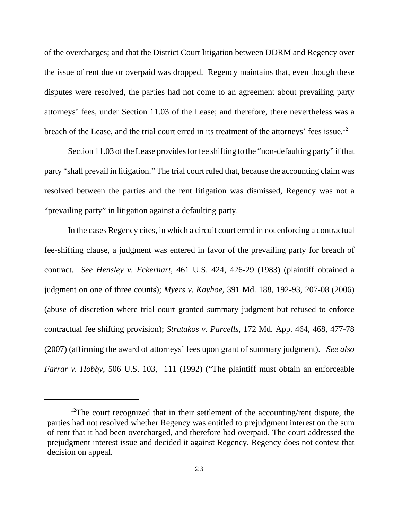of the overcharges; and that the District Court litigation between DDRM and Regency over the issue of rent due or overpaid was dropped. Regency maintains that, even though these disputes were resolved, the parties had not come to an agreement about prevailing party attorneys' fees, under Section 11.03 of the Lease; and therefore, there nevertheless was a breach of the Lease, and the trial court erred in its treatment of the attorneys' fees issue.<sup>12</sup>

Section 11.03 of the Lease provides for fee shifting to the "non-defaulting party" if that party "shall prevail in litigation." The trial court ruled that, because the accounting claim was resolved between the parties and the rent litigation was dismissed, Regency was not a "prevailing party" in litigation against a defaulting party.

In the cases Regency cites, in which a circuit court erred in not enforcing a contractual fee-shifting clause, a judgment was entered in favor of the prevailing party for breach of contract. *See Hensley v. Eckerhart*, 461 U.S. 424, 426-29 (1983) (plaintiff obtained a judgment on one of three counts); *Myers v. Kayhoe*, 391 Md. 188, 192-93, 207-08 (2006) (abuse of discretion where trial court granted summary judgment but refused to enforce contractual fee shifting provision); *Stratakos v. Parcells*, 172 Md. App. 464, 468, 477-78 (2007) (affirming the award of attorneys' fees upon grant of summary judgment). *See also Farrar v. Hobby*, 506 U.S. 103, 111 (1992) ("The plaintiff must obtain an enforceable

<sup>&</sup>lt;sup>12</sup>The court recognized that in their settlement of the accounting/rent dispute, the parties had not resolved whether Regency was entitled to prejudgment interest on the sum of rent that it had been overcharged, and therefore had overpaid. The court addressed the prejudgment interest issue and decided it against Regency. Regency does not contest that decision on appeal.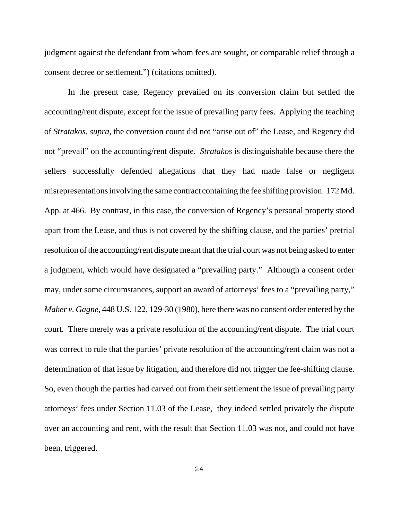judgment against the defendant from whom fees are sought, or comparable relief through a consent decree or settlement.") (citations omitted).

In the present case, Regency prevailed on its conversion claim but settled the accounting/rent dispute, except for the issue of prevailing party fees. Applying the teaching of *Stratakos*, *supra*, the conversion count did not "arise out of" the Lease, and Regency did not "prevail" on the accounting/rent dispute. *Stratakos* is distinguishable because there the sellers successfully defended allegations that they had made false or negligent misrepresentations involving the same contract containing the fee shifting provision. 172 Md. App. at 466. By contrast, in this case, the conversion of Regency's personal property stood apart from the Lease, and thus is not covered by the shifting clause, and the parties' pretrial resolution of the accounting/rent dispute meant that the trial court was not being asked to enter a judgment, which would have designated a "prevailing party." Although a consent order may, under some circumstances, support an award of attorneys' fees to a "prevailing party," *Maher v. Gagne*, 448 U.S. 122, 129-30 (1980), here there was no consent order entered by the court. There merely was a private resolution of the accounting/rent dispute. The trial court was correct to rule that the parties' private resolution of the accounting/rent claim was not a determination of that issue by litigation, and therefore did not trigger the fee-shifting clause. So, even though the parties had carved out from their settlement the issue of prevailing party attorneys' fees under Section 11.03 of the Lease, they indeed settled privately the dispute over an accounting and rent, with the result that Section 11.03 was not, and could not have been, triggered.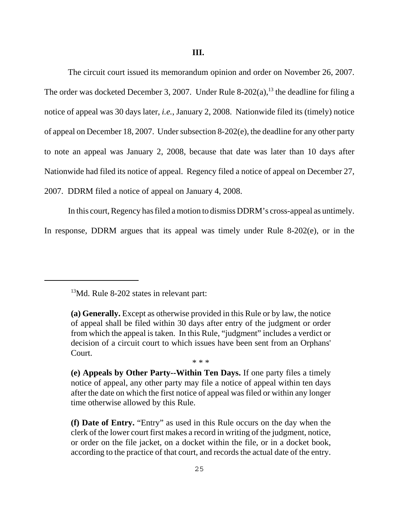The circuit court issued its memorandum opinion and order on November 26, 2007. The order was docketed December 3, 2007. Under Rule 8-202(a),<sup>13</sup> the deadline for filing a notice of appeal was 30 days later, *i.e.*, January 2, 2008. Nationwide filed its (timely) notice of appeal on December 18, 2007. Under subsection 8-202(e), the deadline for any other party to note an appeal was January 2, 2008, because that date was later than 10 days after Nationwide had filed its notice of appeal. Regency filed a notice of appeal on December 27, 2007. DDRM filed a notice of appeal on January 4, 2008.

In this court, Regency has filed a motion to dismiss DDRM's cross-appeal as untimely.

In response, DDRM argues that its appeal was timely under Rule 8-202(e), or in the

\* \* \*

<sup>&</sup>lt;sup>13</sup>Md. Rule 8-202 states in relevant part:

**<sup>(</sup>a) Generally.** Except as otherwise provided in this Rule or by law, the notice of appeal shall be filed within 30 days after entry of the judgment or order from which the appeal is taken. In this Rule, "judgment" includes a verdict or decision of a circuit court to which issues have been sent from an Orphans' Court.

**<sup>(</sup>e) Appeals by Other Party--Within Ten Days.** If one party files a timely notice of appeal, any other party may file a notice of appeal within ten days after the date on which the first notice of appeal was filed or within any longer time otherwise allowed by this Rule.

**<sup>(</sup>f) Date of Entry.** "Entry" as used in this Rule occurs on the day when the clerk of the lower court first makes a record in writing of the judgment, notice, or order on the file jacket, on a docket within the file, or in a docket book, according to the practice of that court, and records the actual date of the entry.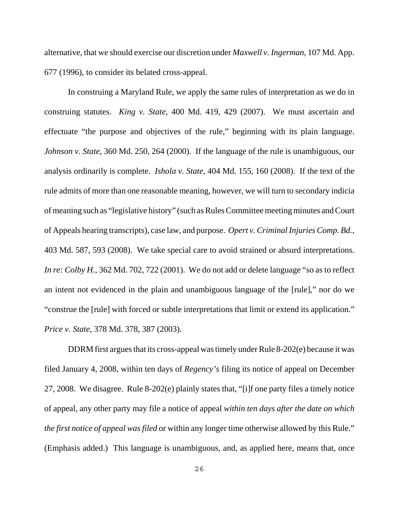alternative, that we should exercise our discretion under *Maxwell v. Ingerman*, 107 Md. App. 677 (1996), to consider its belated cross-appeal.

In construing a Maryland Rule, we apply the same rules of interpretation as we do in construing statutes. *King v. State*, 400 Md. 419, 429 (2007). We must ascertain and effectuate "the purpose and objectives of the rule," beginning with its plain language. *Johnson v. State*, 360 Md. 250, 264 (2000). If the language of the rule is unambiguous, our analysis ordinarily is complete. *Ishola v. State*, 404 Md. 155, 160 (2008). If the text of the rule admits of more than one reasonable meaning, however, we will turn to secondary indicia of meaning such as "legislative history" (such as Rules Committee meeting minutes and Court of Appeals hearing transcripts), case law, and purpose. *Opert v. Criminal Injuries Comp. Bd.*, 403 Md. 587, 593 (2008). We take special care to avoid strained or absurd interpretations. *In re: Colby H.*, 362 Md. 702, 722 (2001). We do not add or delete language "so as to reflect an intent not evidenced in the plain and unambiguous language of the [rule]," nor do we "construe the [rule] with forced or subtle interpretations that limit or extend its application." *Price v. State*, 378 Md. 378, 387 (2003).

DDRM first argues that its cross-appeal was timely under Rule 8-202(e) because it was filed January 4, 2008, within ten days of *Regency's* filing its notice of appeal on December 27, 2008. We disagree. Rule 8-202(e) plainly states that, "[i]f one party files a timely notice of appeal, any other party may file a notice of appeal *within ten days after the date on which the first notice of appeal was filed* or within any longer time otherwise allowed by this Rule." (Emphasis added.) This language is unambiguous, and, as applied here, means that, once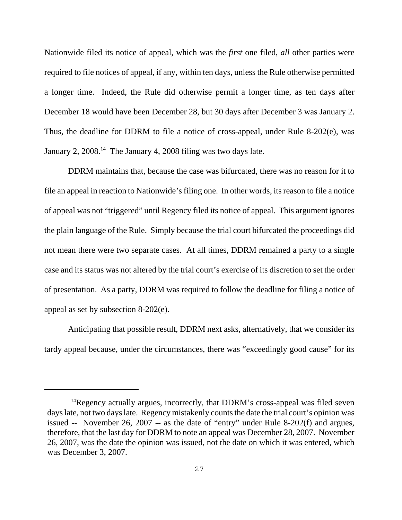Nationwide filed its notice of appeal, which was the *first* one filed, *all* other parties were required to file notices of appeal, if any, within ten days, unless the Rule otherwise permitted a longer time. Indeed, the Rule did otherwise permit a longer time, as ten days after December 18 would have been December 28, but 30 days after December 3 was January 2. Thus, the deadline for DDRM to file a notice of cross-appeal, under Rule 8-202(e), was January 2,  $2008.<sup>14</sup>$  The January 4,  $2008$  filing was two days late.

DDRM maintains that, because the case was bifurcated, there was no reason for it to file an appeal in reaction to Nationwide's filing one. In other words, its reason to file a notice of appeal was not "triggered" until Regency filed its notice of appeal. This argument ignores the plain language of the Rule. Simply because the trial court bifurcated the proceedings did not mean there were two separate cases. At all times, DDRM remained a party to a single case and its status was not altered by the trial court's exercise of its discretion to set the order of presentation. As a party, DDRM was required to follow the deadline for filing a notice of appeal as set by subsection 8-202(e).

Anticipating that possible result, DDRM next asks, alternatively, that we consider its tardy appeal because, under the circumstances, there was "exceedingly good cause" for its

 $14$ Regency actually argues, incorrectly, that DDRM's cross-appeal was filed seven days late, not two days late. Regency mistakenly counts the date the trial court's opinion was issued -- November 26, 2007 -- as the date of "entry" under Rule 8-202(f) and argues, therefore, that the last day for DDRM to note an appeal was December 28, 2007. November 26, 2007, was the date the opinion was issued, not the date on which it was entered, which was December 3, 2007.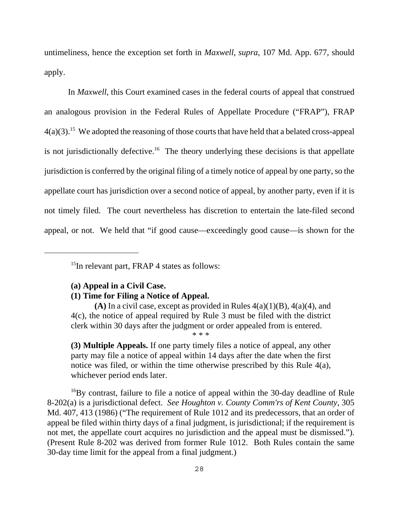untimeliness, hence the exception set forth in *Maxwell*, *supra*, 107 Md. App. 677, should apply.

In *Maxwell*, this Court examined cases in the federal courts of appeal that construed an analogous provision in the Federal Rules of Appellate Procedure ("FRAP"), FRAP  $4(a)(3)$ <sup>15</sup> We adopted the reasoning of those courts that have held that a belated cross-appeal is not jurisdictionally defective.<sup>16</sup> The theory underlying these decisions is that appellate jurisdiction is conferred by the original filing of a timely notice of appeal by one party, so the appellate court has jurisdiction over a second notice of appeal, by another party, even if it is not timely filed. The court nevertheless has discretion to entertain the late-filed second appeal, or not. We held that "if good cause—exceedingly good cause—is shown for the

<sup>15</sup>In relevant part, FRAP 4 states as follows:

## **(a) Appeal in a Civil Case.**

## **(1) Time for Filing a Notice of Appeal.**

 $(A)$  In a civil case, except as provided in Rules  $4(a)(1)(B)$ ,  $4(a)(4)$ , and 4(c), the notice of appeal required by Rule 3 must be filed with the district clerk within 30 days after the judgment or order appealed from is entered. \* \* \*

**(3) Multiple Appeals.** If one party timely files a notice of appeal, any other party may file a notice of appeal within 14 days after the date when the first notice was filed, or within the time otherwise prescribed by this Rule 4(a), whichever period ends later.

<sup>16</sup>By contrast, failure to file a notice of appeal within the 30-day deadline of Rule 8-202(a) is a jurisdictional defect. *See Houghton v. County Comm'rs of Kent County*, 305 Md. 407, 413 (1986) ("The requirement of Rule 1012 and its predecessors, that an order of appeal be filed within thirty days of a final judgment, is jurisdictional; if the requirement is not met, the appellate court acquires no jurisdiction and the appeal must be dismissed."). (Present Rule 8-202 was derived from former Rule 1012. Both Rules contain the same 30-day time limit for the appeal from a final judgment.)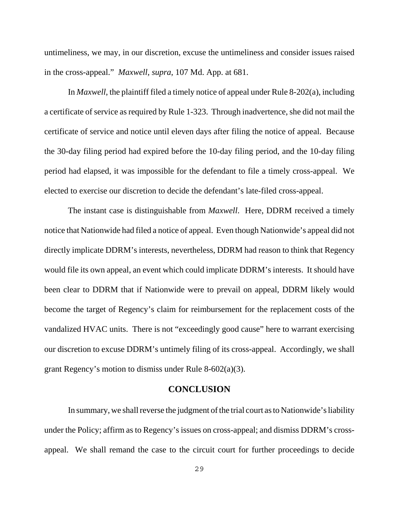untimeliness, we may, in our discretion, excuse the untimeliness and consider issues raised in the cross-appeal." *Maxwell*, *supra*, 107 Md. App. at 681.

In *Maxwell*, the plaintiff filed a timely notice of appeal under Rule 8-202(a), including a certificate of service as required by Rule 1-323. Through inadvertence, she did not mail the certificate of service and notice until eleven days after filing the notice of appeal. Because the 30-day filing period had expired before the 10-day filing period, and the 10-day filing period had elapsed, it was impossible for the defendant to file a timely cross-appeal. We elected to exercise our discretion to decide the defendant's late-filed cross-appeal.

The instant case is distinguishable from *Maxwell*. Here, DDRM received a timely notice that Nationwide had filed a notice of appeal. Even though Nationwide's appeal did not directly implicate DDRM's interests, nevertheless, DDRM had reason to think that Regency would file its own appeal, an event which could implicate DDRM's interests. It should have been clear to DDRM that if Nationwide were to prevail on appeal, DDRM likely would become the target of Regency's claim for reimbursement for the replacement costs of the vandalized HVAC units. There is not "exceedingly good cause" here to warrant exercising our discretion to excuse DDRM's untimely filing of its cross-appeal. Accordingly, we shall grant Regency's motion to dismiss under Rule 8-602(a)(3).

## **CONCLUSION**

In summary, we shall reverse the judgment of the trial court as to Nationwide's liability under the Policy; affirm as to Regency's issues on cross-appeal; and dismiss DDRM's crossappeal. We shall remand the case to the circuit court for further proceedings to decide